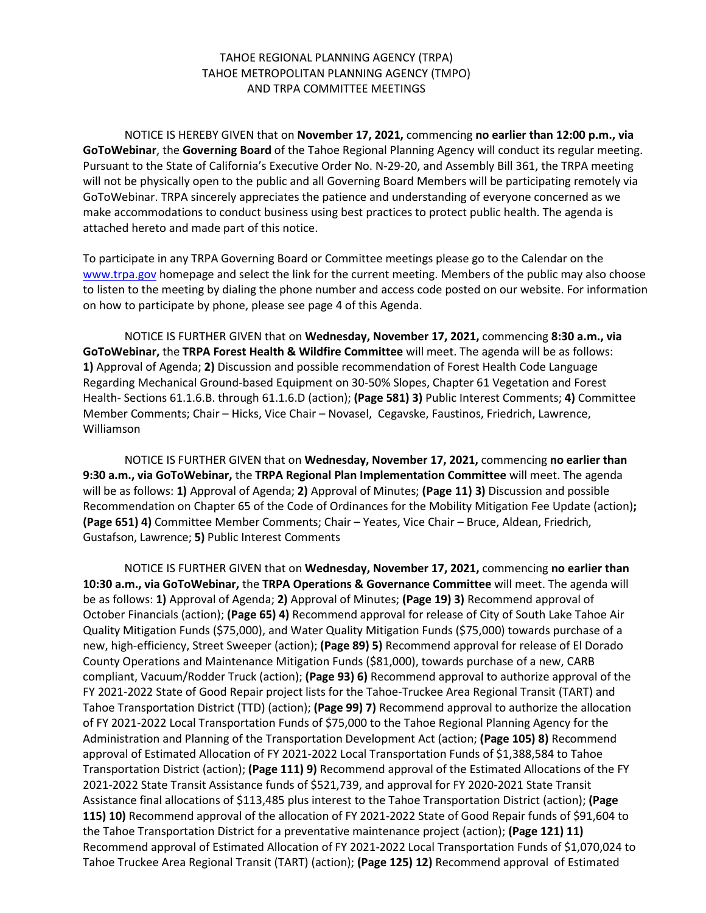# TAHOE REGIONAL PLANNING AGENCY (TRPA) TAHOE METROPOLITAN PLANNING AGENCY (TMPO) AND TRPA COMMITTEE MEETINGS

NOTICE IS HEREBY GIVEN that on **November 17, 2021,** commencing **no earlier than 12:00 p.m., via GoToWebinar**, the **Governing Board** of the Tahoe Regional Planning Agency will conduct its regular meeting. Pursuant to the State of California's Executive Order No. N-29-20, and Assembly Bill 361, the TRPA meeting will not be physically open to the public and all Governing Board Members will be participating remotely via GoToWebinar. TRPA sincerely appreciates the patience and understanding of everyone concerned as we make accommodations to conduct business using best practices to protect public health. The agenda is attached hereto and made part of this notice.

To participate in any TRPA Governing Board or Committee meetings please go to the Calendar on the [www.trpa.gov](http://www.trpa.gov/) homepage and select the link for the current meeting. Members of the public may also choose to listen to the meeting by dialing the phone number and access code posted on our website. For information on how to participate by phone, please see page 4 of this Agenda.

NOTICE IS FURTHER GIVEN that on **Wednesday, November 17, 2021,** commencing **8:30 a.m., via GoToWebinar,** the **TRPA Forest Health & Wildfire Committee** will meet. The agenda will be as follows: **1)** Approval of Agenda; **2)** Discussion and possible recommendation of Forest Health Code Language Regarding Mechanical Ground-based Equipment on 30-50% Slopes, Chapter 61 Vegetation and Forest Health- Sections 61.1.6.B. through 61.1.6.D (action); **(Page 581) 3)** Public Interest Comments; **4)** Committee Member Comments; Chair – Hicks, Vice Chair – Novasel, Cegavske, Faustinos, Friedrich, Lawrence, Williamson

NOTICE IS FURTHER GIVEN that on **Wednesday, November 17, 2021,** commencing **no earlier than 9:30 a.m., via GoToWebinar,** the **TRPA Regional Plan Implementation Committee** will meet. The agenda will be as follows: **1)** Approval of Agenda; **2)** Approval of Minutes; **(Page 11) 3)** Discussion and possible Recommendation on Chapter 65 of the Code of Ordinances for the Mobility Mitigation Fee Update (action)**; (Page 651) 4)** Committee Member Comments; Chair – Yeates, Vice Chair – Bruce, Aldean, Friedrich, Gustafson, Lawrence; **5)** Public Interest Comments

NOTICE IS FURTHER GIVEN that on **Wednesday, November 17, 2021,** commencing **no earlier than 10:30 a.m., via GoToWebinar,** the **TRPA Operations & Governance Committee** will meet. The agenda will be as follows: **1)** Approval of Agenda; **2)** Approval of Minutes; **(Page 19) 3)** Recommend approval of October Financials (action); **(Page 65) 4)** Recommend approval for release of City of South Lake Tahoe Air Quality Mitigation Funds (\$75,000), and Water Quality Mitigation Funds (\$75,000) towards purchase of a new, high-efficiency, Street Sweeper (action); **(Page 89) 5)** Recommend approval for release of El Dorado County Operations and Maintenance Mitigation Funds (\$81,000), towards purchase of a new, CARB compliant, Vacuum/Rodder Truck (action); **(Page 93) 6)** Recommend approval to authorize approval of the FY 2021-2022 State of Good Repair project lists for the Tahoe-Truckee Area Regional Transit (TART) and Tahoe Transportation District (TTD) (action); **(Page 99) 7)** Recommend approval to authorize the allocation of FY 2021-2022 Local Transportation Funds of \$75,000 to the Tahoe Regional Planning Agency for the Administration and Planning of the Transportation Development Act (action; **(Page 105) 8)** Recommend approval of Estimated Allocation of FY 2021-2022 Local Transportation Funds of \$1,388,584 to Tahoe Transportation District (action); **(Page 111) 9)** Recommend approval of the Estimated Allocations of the FY 2021-2022 State Transit Assistance funds of \$521,739, and approval for FY 2020-2021 State Transit Assistance final allocations of \$113,485 plus interest to the Tahoe Transportation District (action); **(Page 115) 10)** Recommend approval of the allocation of FY 2021-2022 State of Good Repair funds of \$91,604 to the Tahoe Transportation District for a preventative maintenance project (action); **(Page 121) 11)**  Recommend approval of Estimated Allocation of FY 2021-2022 Local Transportation Funds of \$1,070,024 to Tahoe Truckee Area Regional Transit (TART) (action); **(Page 125) 12)** Recommend approval of Estimated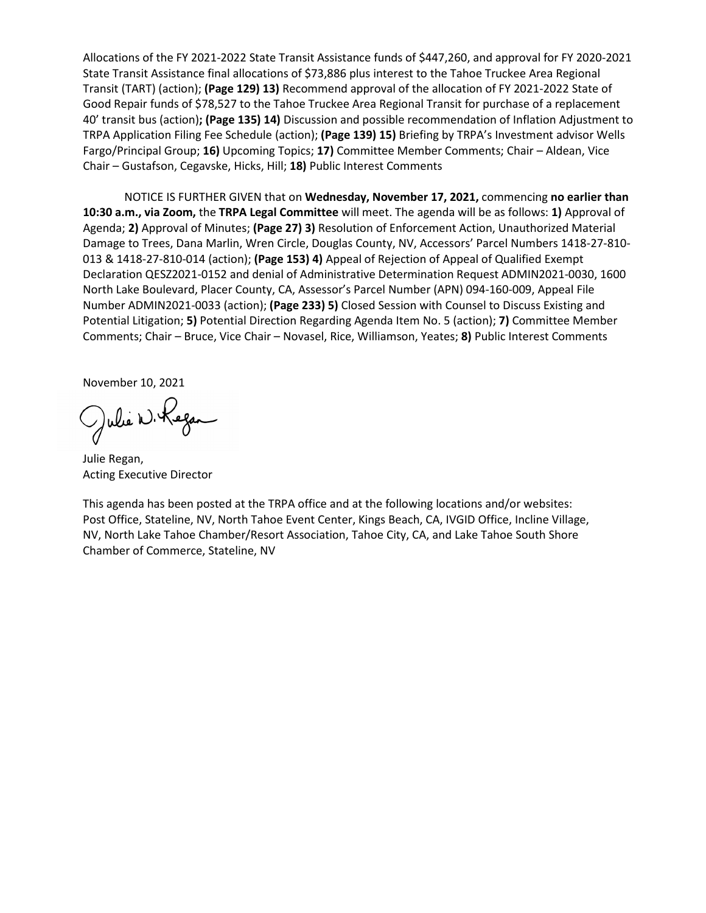Allocations of the FY 2021-2022 State Transit Assistance funds of \$447,260, and approval for FY 2020-2021 State Transit Assistance final allocations of \$73,886 plus interest to the Tahoe Truckee Area Regional Transit (TART) (action); **(Page 129) 13)** Recommend approval of the allocation of FY 2021-2022 State of Good Repair funds of \$78,527 to the Tahoe Truckee Area Regional Transit for purchase of a replacement 40' transit bus (action)**; (Page 135) 14)** Discussion and possible recommendation of Inflation Adjustment to TRPA Application Filing Fee Schedule (action); **(Page 139) 15)** Briefing by TRPA's Investment advisor Wells Fargo/Principal Group; **16)** Upcoming Topics; **17)** Committee Member Comments; Chair – Aldean, Vice Chair – Gustafson, Cegavske, Hicks, Hill; **18)** Public Interest Comments

NOTICE IS FURTHER GIVEN that on **Wednesday, November 17, 2021,** commencing **no earlier than 10:30 a.m., via Zoom,** the **TRPA Legal Committee** will meet. The agenda will be as follows: **1)** Approval of Agenda; **2)** Approval of Minutes; **(Page 27) 3)** Resolution of Enforcement Action, Unauthorized Material Damage to Trees, Dana Marlin, Wren Circle, Douglas County, NV, Accessors' Parcel Numbers 1418-27-810- 013 & 1418-27-810-014 (action); **(Page 153) 4)** Appeal of Rejection of Appeal of Qualified Exempt Declaration QESZ2021-0152 and denial of Administrative Determination Request ADMIN2021-0030, 1600 North Lake Boulevard, Placer County, CA, Assessor's Parcel Number (APN) 094-160-009, Appeal File Number ADMIN2021-0033 (action); **(Page 233) 5)** Closed Session with Counsel to Discuss Existing and Potential Litigation; **5)** Potential Direction Regarding Agenda Item No. 5 (action); **7)** Committee Member Comments; Chair – Bruce, Vice Chair – Novasel, Rice, Williamson, Yeates; **8)** Public Interest Comments

November 10, 2021

Julie W. Kegan

Julie Regan, Acting Executive Director

This agenda has been posted at the TRPA office and at the following locations and/or websites: Post Office, Stateline, NV, North Tahoe Event Center, Kings Beach, CA, IVGID Office, Incline Village, NV, North Lake Tahoe Chamber/Resort Association, Tahoe City, CA, and Lake Tahoe South Shore Chamber of Commerce, Stateline, NV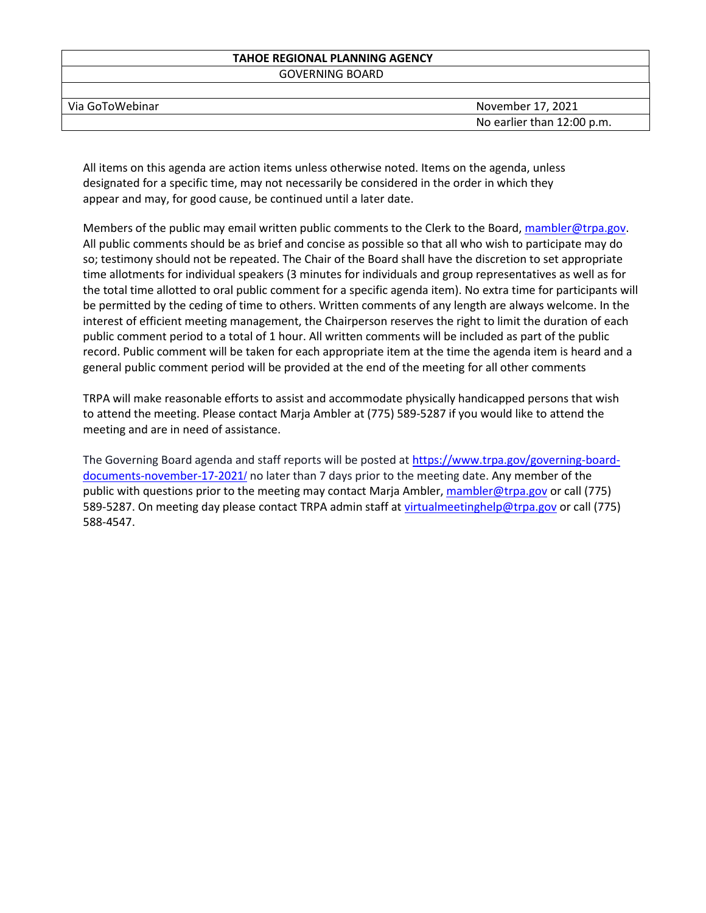# **TAHOE REGIONAL PLANNING AGENCY**

GOVERNING BOARD

| Via GoToWebinar | November 17, 2021          |
|-----------------|----------------------------|
|                 | No earlier than 12:00 p.m. |

All items on this agenda are action items unless otherwise noted. Items on the agenda, unless designated for a specific time, may not necessarily be considered in the order in which they appear and may, for good cause, be continued until a later date.

Members of the public may email written public comments to the Clerk to the Board, [mambler@trpa.gov.](mailto:mambler@trpa.gov) All public comments should be as brief and concise as possible so that all who wish to participate may do so; testimony should not be repeated. The Chair of the Board shall have the discretion to set appropriate time allotments for individual speakers (3 minutes for individuals and group representatives as well as for the total time allotted to oral public comment for a specific agenda item). No extra time for participants will be permitted by the ceding of time to others. Written comments of any length are always welcome. In the interest of efficient meeting management, the Chairperson reserves the right to limit the duration of each public comment period to a total of 1 hour. All written comments will be included as part of the public record. Public comment will be taken for each appropriate item at the time the agenda item is heard and a general public comment period will be provided at the end of the meeting for all other comments

TRPA will make reasonable efforts to assist and accommodate physically handicapped persons that wish to attend the meeting. Please contact Marja Ambler at (775) 589-5287 if you would like to attend the meeting and are in need of assistance.

The Governing Board agenda and staff reports will be posted a[t https://www.trpa.gov/governing-board](https://www.trpa.gov/governing-board-documents-november-17-2021/)[documents-november-17-2021](https://www.trpa.gov/governing-board-documents-november-17-2021/)/ no later than 7 days prior to the meeting date. Any member of the public with questions prior to the meeting may contact Marja Ambler, [mambler@trpa.gov](mailto:mambler@trpa.gov) or call (775) 589-5287. On meeting day please contact TRPA admin staff at [virtualmeetinghelp@trpa.gov](mailto:virtualmeetinghelp@trpa.gov) or call (775) 588-4547.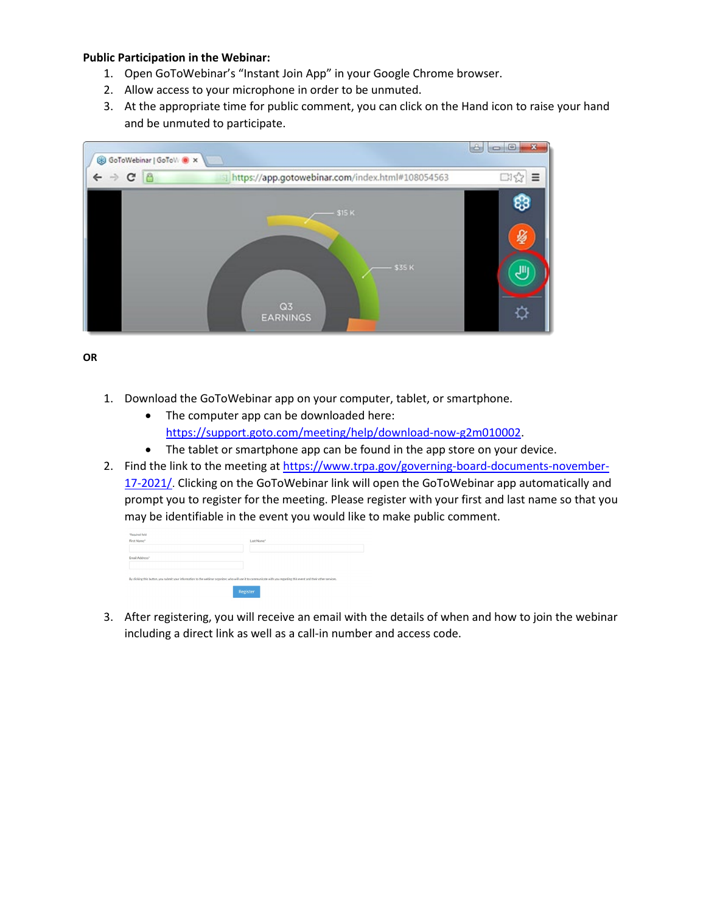## **Public Participation in the Webinar:**

- 1. Open GoToWebinar's "Instant Join App" in your Google Chrome browser.
- 2. Allow access to your microphone in order to be unmuted.
- 3. At the appropriate time for public comment, you can click on the Hand icon to raise your hand and be unmuted to participate.



**OR**

- 1. Download the GoToWebinar app on your computer, tablet, or smartphone.
	- The computer app can be downloaded here: [https://support.goto.com/meeting/help/download-now-g2m010002.](https://support.goto.com/meeting/help/download-now-g2m010002)
	- The tablet or smartphone app can be found in the app store on your device.
- 2. Find the link to the meeting a[t https://www.trpa.gov/governing-board-documents-november-](https://www.trpa.gov/governing-board-documents-november-17-2021/)[17-2021/](https://www.trpa.gov/governing-board-documents-november-17-2021/). Clicking on the GoToWebinar link will open the GoToWebinar app automatically and prompt you to register for the meeting. Please register with your first and last name so that you may be identifiable in the event you would like to make public comment.

| "Required field                                                                                                                                                       |            |
|-----------------------------------------------------------------------------------------------------------------------------------------------------------------------|------------|
| First Name*                                                                                                                                                           | Last Name" |
|                                                                                                                                                                       |            |
| Email Address"                                                                                                                                                        |            |
|                                                                                                                                                                       |            |
| By clicking this button, you submit your information to the webinar organizer, who will use it to communicate with you regarding this event and their other services. |            |
| Register                                                                                                                                                              |            |
|                                                                                                                                                                       |            |

3. After registering, you will receive an email with the details of when and how to join the webinar including a direct link as well as a call-in number and access code.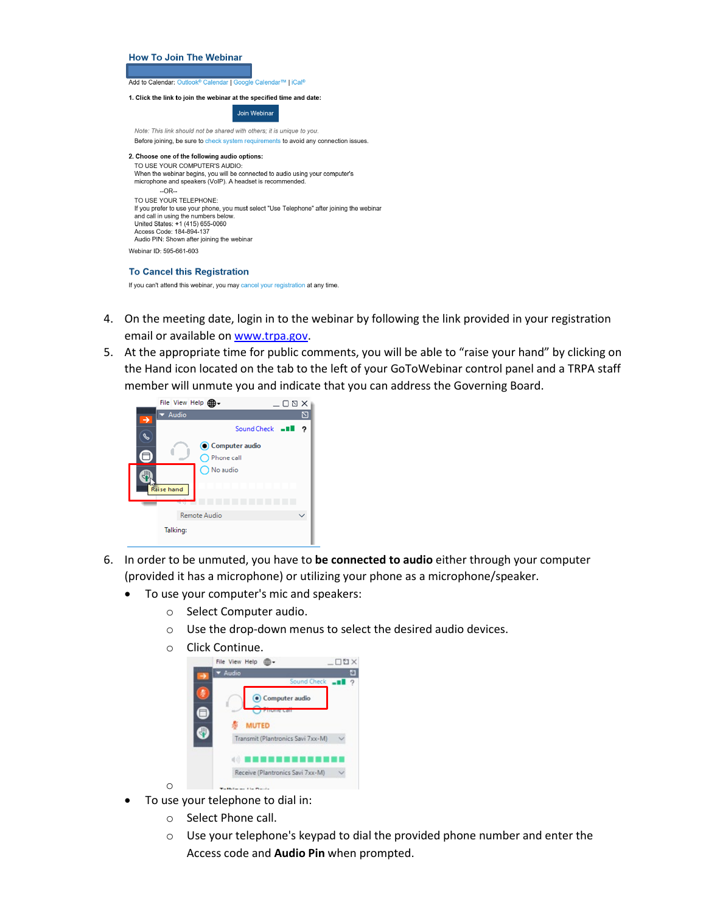### **How To Join The Webinar**

Add to Calendar: Outlook<sup>®</sup> Calendar | Google Calendar™ | iCal<sup>®</sup>

#### 1. Click the link to join the webinar at the specified time and date:

Join Webinar

Note: This link should not be shared with others; it is unique to you. Before joining, be sure to check system requirements to avoid any connection issues.

### 2. Choose one of the following audio options:

TO USE YOUR COMPUTER'S AUDIO: When the webinar begins, you will be connected to audio using your computer's microphone and speakers (VoIP). A headset is recommended.  $\overline{C}$ OR<sub>tr</sub> TO USE YOUR TELEPHONE: If you prefer to use your phone, you must select "Use Telephone" after joining the webinar and call in using the numbers below<br>United States: +1 (415) 655-0060 Access Code: 184-894-137 Audio PIN: Shown after joining the webinar Webinar ID: 595-661-603

### **To Cancel this Registration**

If you can't attend this webinar, you may cancel your registration at any time.

- 4. On the meeting date, login in to the webinar by following the link provided in your registration email or available o[n www.trpa.gov.](http://www.trpa.gov/)
- 5. At the appropriate time for public comments, you will be able to "raise your hand" by clicking on the Hand icon located on the tab to the left of your GoToWebinar control panel and a TRPA staff member will unmute you and indicate that you can address the Governing Board.

| File View Help <b>db</b><br>$-00X$         |
|--------------------------------------------|
| Audio                                      |
| Sound Check - II<br>っ                      |
| Computer audio                             |
| ◯ Phone call                               |
| ◯ No audio<br><b>Raise hand</b><br>8 H H H |
| $\sim$                                     |
| Remote Audio                               |
| Talking:                                   |

- 6. In order to be unmuted, you have to **be connected to audio** either through your computer (provided it has a microphone) or utilizing your phone as a microphone/speaker.
	- To use your computer's mic and speakers:
		- o Select Computer audio.
		- o Use the drop-down menus to select the desired audio devices.
		- O Click Continue.<br>File View Help **@-**



• To use your telephone to dial in:

o

- o Select Phone call.
- o Use your telephone's keypad to dial the provided phone number and enter the Access code and **Audio Pin** when prompted.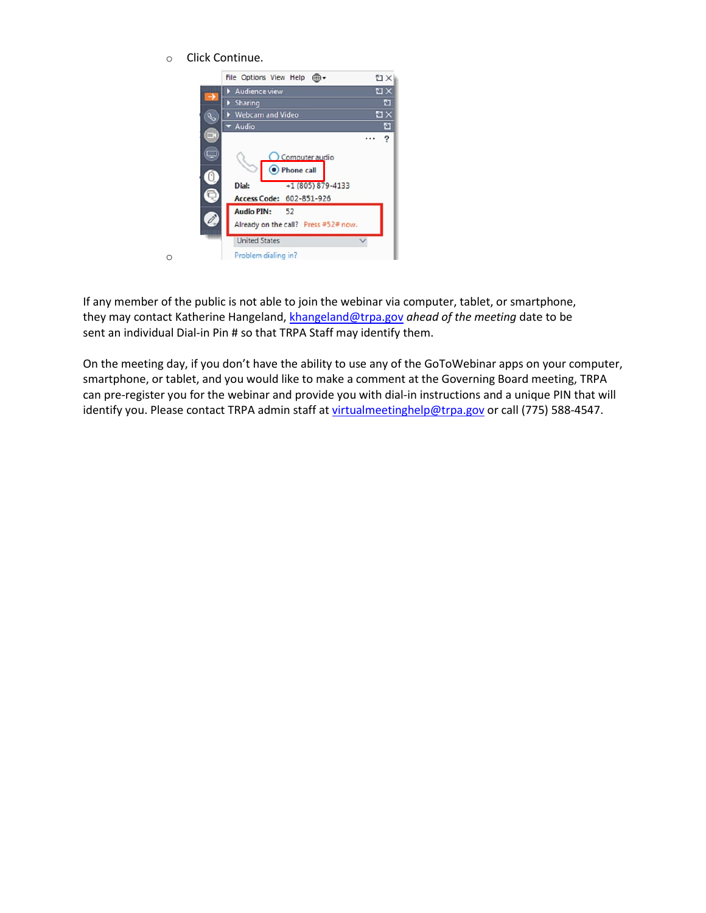o Click Continue.

o



If any member of the public is not able to join the webinar via computer, tablet, or smartphone, they may contact Katherine Hangeland, [khangeland@trpa.gov](mailto:khangeland@trpa.gov) *ahead of the meeting* date to be sent an individual Dial-in Pin # so that TRPA Staff may identify them.

On the meeting day, if you don't have the ability to use any of the GoToWebinar apps on your computer, smartphone, or tablet, and you would like to make a comment at the Governing Board meeting, TRPA can pre-register you for the webinar and provide you with dial-in instructions and a unique PIN that will identify you. Please contact TRPA admin staff at [virtualmeetinghelp@trpa.gov](mailto:virtualmeetinghelp@trpa.gov) or call (775) 588-4547.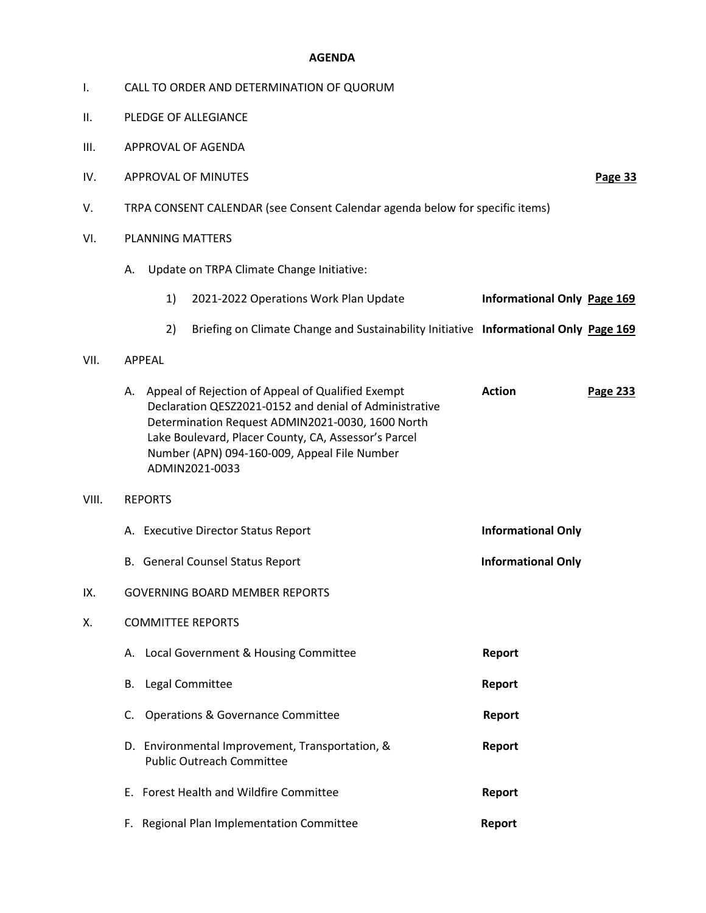### **AGENDA**

- I. CALL TO ORDER AND DETERMINATION OF QUORUM
- II. PLEDGE OF ALLEGIANCE
- III. APPROVAL OF AGENDA
- IV. APPROVAL OF MINUTES **Page 33**
- V. TRPA CONSENT CALENDAR (see Consent Calendar agenda below for specific items)
- VI. PLANNING MATTERS
	- A. Update on TRPA Climate Change Initiative:
		- 1) 2021-2022 Operations Work Plan Update **Informational Only Page 169**
		- 2) Briefing on Climate Change and Sustainability Initiative **Informational Only Page 169**
- VII. APPEAL

| VIII. | А. | Appeal of Rejection of Appeal of Qualified Exempt<br>Declaration QESZ2021-0152 and denial of Administrative<br>Determination Request ADMIN2021-0030, 1600 North<br>Lake Boulevard, Placer County, CA, Assessor's Parcel<br>Number (APN) 094-160-009, Appeal File Number<br>ADMIN2021-0033<br><b>REPORTS</b> | <b>Action</b>             | Page 233 |
|-------|----|-------------------------------------------------------------------------------------------------------------------------------------------------------------------------------------------------------------------------------------------------------------------------------------------------------------|---------------------------|----------|
|       |    | A. Executive Director Status Report                                                                                                                                                                                                                                                                         | <b>Informational Only</b> |          |
|       |    | B. General Counsel Status Report                                                                                                                                                                                                                                                                            | <b>Informational Only</b> |          |
| IX.   |    | <b>GOVERNING BOARD MEMBER REPORTS</b>                                                                                                                                                                                                                                                                       |                           |          |
| Χ.    |    | <b>COMMITTEE REPORTS</b>                                                                                                                                                                                                                                                                                    |                           |          |
|       |    | A. Local Government & Housing Committee                                                                                                                                                                                                                                                                     | Report                    |          |
|       | В. | Legal Committee                                                                                                                                                                                                                                                                                             | Report                    |          |
|       | C. | <b>Operations &amp; Governance Committee</b>                                                                                                                                                                                                                                                                | Report                    |          |
|       |    | D. Environmental Improvement, Transportation, &<br><b>Public Outreach Committee</b>                                                                                                                                                                                                                         | Report                    |          |
|       |    | E. Forest Health and Wildfire Committee                                                                                                                                                                                                                                                                     | <b>Report</b>             |          |

F. Regional Plan Implementation Committee **Report**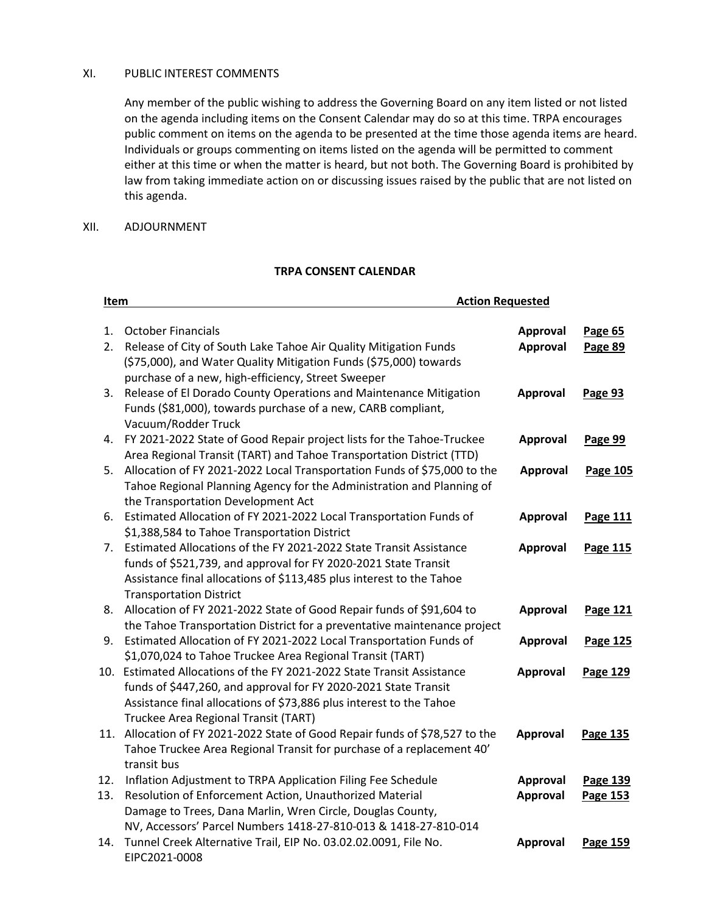## XI. PUBLIC INTEREST COMMENTS

Any member of the public wishing to address the Governing Board on any item listed or not listed on the agenda including items on the Consent Calendar may do so at this time. TRPA encourages public comment on items on the agenda to be presented at the time those agenda items are heard. Individuals or groups commenting on items listed on the agenda will be permitted to comment either at this time or when the matter is heard, but not both. The Governing Board is prohibited by law from taking immediate action on or discussing issues raised by the public that are not listed on this agenda.

### XII. ADJOURNMENT

## **TRPA CONSENT CALENDAR**

| <b>Action Requested</b><br>Item |                                                                                  |                 |                 |
|---------------------------------|----------------------------------------------------------------------------------|-----------------|-----------------|
| 1.                              | <b>October Financials</b>                                                        | Approval        | Page 65         |
| 2.                              | Release of City of South Lake Tahoe Air Quality Mitigation Funds                 | Approval        | Page 89         |
|                                 | (\$75,000), and Water Quality Mitigation Funds (\$75,000) towards                |                 |                 |
|                                 | purchase of a new, high-efficiency, Street Sweeper                               |                 |                 |
| 3.                              | Release of El Dorado County Operations and Maintenance Mitigation                | <b>Approval</b> | Page 93         |
|                                 | Funds (\$81,000), towards purchase of a new, CARB compliant,                     |                 |                 |
|                                 | Vacuum/Rodder Truck                                                              |                 |                 |
| 4.                              | FY 2021-2022 State of Good Repair project lists for the Tahoe-Truckee            | Approval        | Page 99         |
|                                 | Area Regional Transit (TART) and Tahoe Transportation District (TTD)             |                 |                 |
| 5.                              | Allocation of FY 2021-2022 Local Transportation Funds of \$75,000 to the         | Approval        | <b>Page 105</b> |
|                                 | Tahoe Regional Planning Agency for the Administration and Planning of            |                 |                 |
|                                 | the Transportation Development Act                                               |                 |                 |
| 6.                              | Estimated Allocation of FY 2021-2022 Local Transportation Funds of               | Approval        | <b>Page 111</b> |
|                                 | \$1,388,584 to Tahoe Transportation District                                     |                 |                 |
| 7.                              | Estimated Allocations of the FY 2021-2022 State Transit Assistance               | <b>Approval</b> | Page 115        |
|                                 | funds of \$521,739, and approval for FY 2020-2021 State Transit                  |                 |                 |
|                                 | Assistance final allocations of \$113,485 plus interest to the Tahoe             |                 |                 |
|                                 | <b>Transportation District</b>                                                   |                 |                 |
|                                 | 8. Allocation of FY 2021-2022 State of Good Repair funds of \$91,604 to          | <b>Approval</b> | Page 121        |
|                                 | the Tahoe Transportation District for a preventative maintenance project         |                 |                 |
| 9.                              | Estimated Allocation of FY 2021-2022 Local Transportation Funds of               | Approval        | <b>Page 125</b> |
|                                 | \$1,070,024 to Tahoe Truckee Area Regional Transit (TART)                        |                 |                 |
|                                 | 10. Estimated Allocations of the FY 2021-2022 State Transit Assistance           | <b>Approval</b> | Page 129        |
|                                 | funds of \$447,260, and approval for FY 2020-2021 State Transit                  |                 |                 |
|                                 | Assistance final allocations of \$73,886 plus interest to the Tahoe              |                 |                 |
|                                 | Truckee Area Regional Transit (TART)                                             |                 |                 |
|                                 | 11. Allocation of FY 2021-2022 State of Good Repair funds of \$78,527 to the     | Approval        | Page 135        |
|                                 | Tahoe Truckee Area Regional Transit for purchase of a replacement 40'            |                 |                 |
|                                 | transit bus                                                                      |                 |                 |
| 12.                             | Inflation Adjustment to TRPA Application Filing Fee Schedule                     | <b>Approval</b> | Page 139        |
| 13.                             | Resolution of Enforcement Action, Unauthorized Material                          | Approval        | Page 153        |
|                                 | Damage to Trees, Dana Marlin, Wren Circle, Douglas County,                       |                 |                 |
|                                 | NV, Accessors' Parcel Numbers 1418-27-810-013 & 1418-27-810-014                  |                 |                 |
| 14.                             | Tunnel Creek Alternative Trail, EIP No. 03.02.02.0091, File No.<br>EIPC2021-0008 | Approval        | Page 159        |